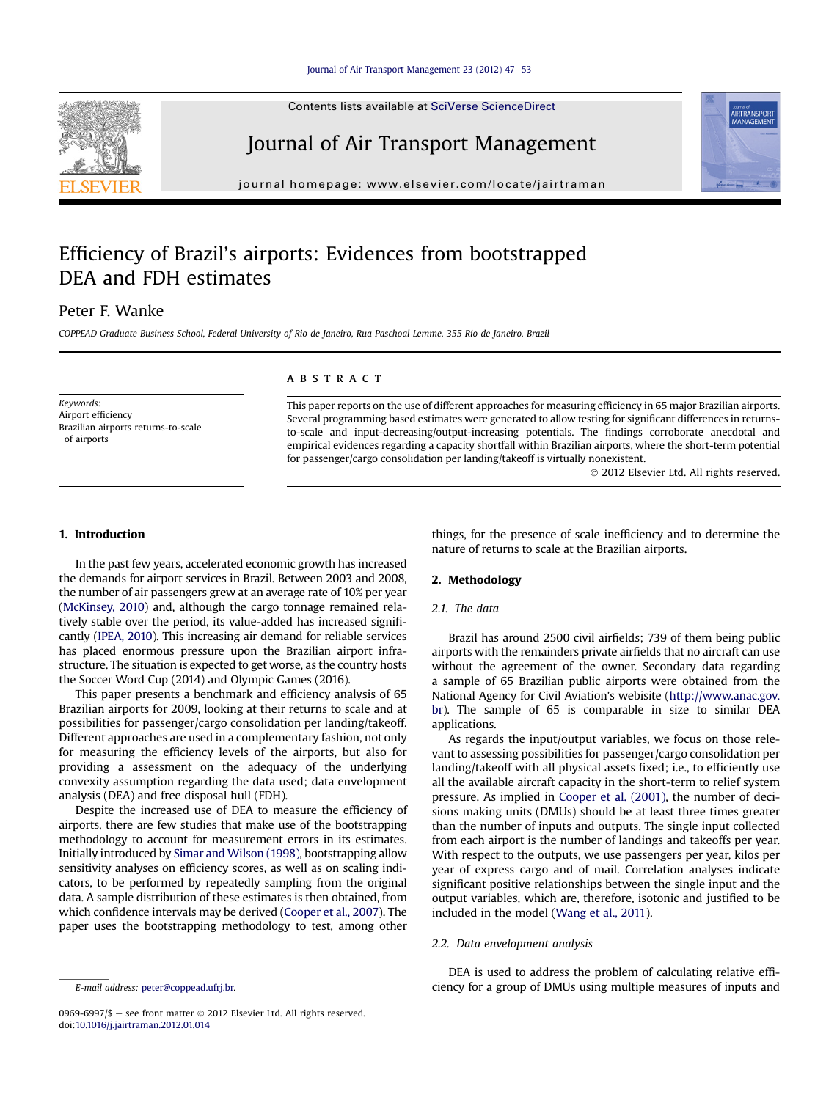Contents lists available at SciVerse ScienceDirect

# Journal of Air Transport Management

journal homepage: [www.elsevier.com/locate/jairtraman](http://www.elsevier.com/locate/jairtraman)

# Efficiency of Brazil's airports: Evidences from bootstrapped DEA and FDH estimates

# Peter F. Wanke

COPPEAD Graduate Business School, Federal University of Rio de Janeiro, Rua Paschoal Lemme, 355 Rio de Janeiro, Brazil

Keywords: Airport efficiency Brazilian airports returns-to-scale of airports

# **ABSTRACT**

This paper reports on the use of different approaches for measuring efficiency in 65 major Brazilian airports. Several programming based estimates were generated to allow testing for significant differences in returnsto-scale and input-decreasing/output-increasing potentials. The findings corroborate anecdotal and empirical evidences regarding a capacity shortfall within Brazilian airports, where the short-term potential for passenger/cargo consolidation per landing/takeoff is virtually nonexistent.

2012 Elsevier Ltd. All rights reserved.

## 1. Introduction

In the past few years, accelerated economic growth has increased the demands for airport services in Brazil. Between 2003 and 2008, the number of air passengers grew at an average rate of 10% per year [\(McKinsey, 2010](#page--1-0)) and, although the cargo tonnage remained relatively stable over the period, its value-added has increased significantly ([IPEA, 2010\)](#page--1-0). This increasing air demand for reliable services has placed enormous pressure upon the Brazilian airport infrastructure. The situation is expected to get worse, as the country hosts the Soccer Word Cup (2014) and Olympic Games (2016).

This paper presents a benchmark and efficiency analysis of 65 Brazilian airports for 2009, looking at their returns to scale and at possibilities for passenger/cargo consolidation per landing/takeoff. Different approaches are used in a complementary fashion, not only for measuring the efficiency levels of the airports, but also for providing a assessment on the adequacy of the underlying convexity assumption regarding the data used; data envelopment analysis (DEA) and free disposal hull (FDH).

Despite the increased use of DEA to measure the efficiency of airports, there are few studies that make use of the bootstrapping methodology to account for measurement errors in its estimates. Initially introduced by [Simar and Wilson \(1998\)](#page--1-0), bootstrapping allow sensitivity analyses on efficiency scores, as well as on scaling indicators, to be performed by repeatedly sampling from the original data. A sample distribution of these estimates is then obtained, from which confidence intervals may be derived [\(Cooper et al., 2007](#page--1-0)). The paper uses the bootstrapping methodology to test, among other

0969-6997/\$ - see front matter  $\odot$  2012 Elsevier Ltd. All rights reserved. doi[:10.1016/j.jairtraman.2012.01.014](http://dx.doi.org/10.1016/j.jairtraman.2012.01.014)

things, for the presence of scale inefficiency and to determine the nature of returns to scale at the Brazilian airports.

## 2. Methodology

# 2.1. The data

Brazil has around 2500 civil airfields; 739 of them being public airports with the remainders private airfields that no aircraft can use without the agreement of the owner. Secondary data regarding a sample of 65 Brazilian public airports were obtained from the National Agency for Civil Aviation's webisite ([http://www.anac.gov.](http://www.anac.gov.br) [br](http://www.anac.gov.br)). The sample of 65 is comparable in size to similar DEA applications.

As regards the input/output variables, we focus on those relevant to assessing possibilities for passenger/cargo consolidation per landing/takeoff with all physical assets fixed; i.e., to efficiently use all the available aircraft capacity in the short-term to relief system pressure. As implied in [Cooper et al. \(2001\)](#page--1-0), the number of decisions making units (DMUs) should be at least three times greater than the number of inputs and outputs. The single input collected from each airport is the number of landings and takeoffs per year. With respect to the outputs, we use passengers per year, kilos per year of express cargo and of mail. Correlation analyses indicate significant positive relationships between the single input and the output variables, which are, therefore, isotonic and justified to be included in the model ([Wang et al., 2011\)](#page--1-0).

### 2.2. Data envelopment analysis

DEA is used to address the problem of calculating relative effiE-mail address: [peter@coppead.ufrj.br.](mailto:peter@coppead.ufrj.br) ciency for a group of DMUs using multiple measures of inputs and

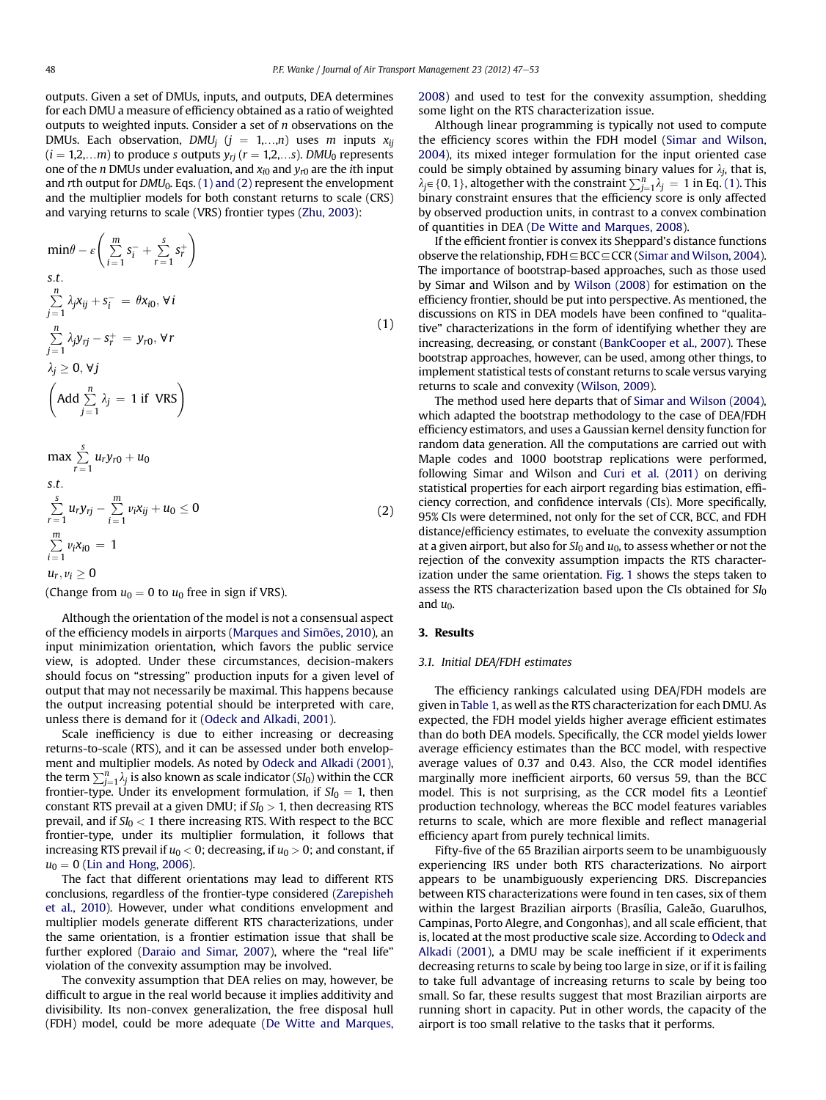outputs. Given a set of DMUs, inputs, and outputs, DEA determines for each DMU a measure of efficiency obtained as a ratio of weighted outputs to weighted inputs. Consider a set of  $n$  observations on the DMUs. Each observation, DMU<sub>j</sub> ( $j = 1,...,n$ ) uses m inputs  $x_{ij}$  $(i = 1,2,...m)$  to produce s outputs  $y_{rj}$   $(r = 1,2,...s)$ . DMU<sub>0</sub> represents one of the *n* DMUs under evaluation, and  $x_{i0}$  and  $y_{r0}$  are the *i*th input and rth output for  $DMU_0$ . Eqs. (1) and (2) represent the envelopment and the multiplier models for both constant returns to scale (CRS) and varying returns to scale (VRS) frontier types [\(Zhu, 2003\)](#page--1-0):

$$
\min \theta - \varepsilon \left( \sum_{i=1}^{m} s_i^{-} + \sum_{r=1}^{s} s_r^{+} \right)
$$
\ns.t.  
\n
$$
\sum_{j=1}^{n} \lambda_j x_{ij} + s_i^{-} = \theta x_{i0}, \forall i
$$
\n
$$
\sum_{j=1}^{n} \lambda_j y_{rj} - s_r^{+} = y_{r0}, \forall r
$$
\n
$$
\lambda_j \ge 0, \forall j
$$
\n
$$
\left( \text{Add } \sum_{j=1}^{n} \lambda_j = 1 \text{ if } \text{ VRS} \right)
$$
\n
$$
\max \sum_{r=1}^{s} u_r y_{r0} + u_0
$$
\n
$$
\text{s.t.}
$$
\n
$$
\sum_{r=1}^{s} u_r y_{rj} - \sum_{i=1}^{m} v_i x_{ij} + u_0 \le 0
$$
\n
$$
\sum_{r=1}^{m} v_i x_{i0} = 1
$$
\n(2)

(Change from  $u_0 = 0$  to  $u_0$  free in sign if VRS).

 $\sum_{i=1} \nu_i x_{i0} = 1$  $u_r, v_i \geq 0$ 

Although the orientation of the model is not a consensual aspect of the efficiency models in airports ([Marques and Simões, 2010\)](#page--1-0), an input minimization orientation, which favors the public service view, is adopted. Under these circumstances, decision-makers should focus on "stressing" production inputs for a given level of output that may not necessarily be maximal. This happens because the output increasing potential should be interpreted with care, unless there is demand for it ([Odeck and Alkadi, 2001\)](#page--1-0).

Scale inefficiency is due to either increasing or decreasing returns-to-scale (RTS), and it can be assessed under both envelopment and multiplier models. As noted by [Odeck and Alkadi \(2001\),](#page--1-0) the term  $\sum_{j=1}^{n} \lambda_j$  is also known as scale indicator (SI<sub>0</sub>) within the CCR frontier-type Hinder its envelopment formulation if  $S I_0 = 1$  then frontier-type. Under its envelopment formulation, if  $SI_0 = 1$ , then constant RTS prevail at a given DMU; if  $SI_0 > 1$ , then decreasing RTS prevail, and if  $SI_0 < 1$  there increasing RTS. With respect to the BCC frontier-type, under its multiplier formulation, it follows that increasing RTS prevail if  $u_0 < 0$ ; decreasing, if  $u_0 > 0$ ; and constant, if  $u_0 = 0$  ([Lin and Hong, 2006\)](#page--1-0).

The fact that different orientations may lead to different RTS conclusions, regardless of the frontier-type considered ([Zarepisheh](#page--1-0) [et al., 2010](#page--1-0)). However, under what conditions envelopment and multiplier models generate different RTS characterizations, under the same orientation, is a frontier estimation issue that shall be further explored ([Daraio and Simar, 2007\)](#page--1-0), where the "real life" violation of the convexity assumption may be involved.

The convexity assumption that DEA relies on may, however, be difficult to argue in the real world because it implies additivity and divisibility. Its non-convex generalization, the free disposal hull (FDH) model, could be more adequate ([De Witte and Marques,](#page--1-0) [2008](#page--1-0)) and used to test for the convexity assumption, shedding some light on the RTS characterization issue.

Although linear programming is typically not used to compute the efficiency scores within the FDH model ([Simar and Wilson,](#page--1-0) [2004](#page--1-0)), its mixed integer formulation for the input oriented case could be simply obtained by assuming binary values for  $\lambda_j$ , that is,  $\lambda_j \in \{0, 1\}$ , altogether with the constraint  $\sum_{j=1}^{n} \lambda_j = 1$  in Eq. (1). This binary constraint ensures that the efficiency score is only affected binary constraint ensures that the efficiency score is only affected by observed production units, in contrast to a convex combination of quantities in DEA [\(De Witte and Marques, 2008](#page--1-0)).

If the efficient frontier is convex its Sheppard's distance functions observe the relationship,  $FDH \subseteq BCC \subseteq CCR$  ([Simar and Wilson, 2004](#page--1-0)). The importance of bootstrap-based approaches, such as those used by Simar and Wilson and by [Wilson \(2008\)](#page--1-0) for estimation on the efficiency frontier, should be put into perspective. As mentioned, the discussions on RTS in DEA models have been confined to "qualitative" characterizations in the form of identifying whether they are increasing, decreasing, or constant ([BankCooper et al., 2007](#page--1-0)). These bootstrap approaches, however, can be used, among other things, to implement statistical tests of constant returns to scale versus varying returns to scale and convexity [\(Wilson, 2009\)](#page--1-0).

The method used here departs that of [Simar and Wilson \(2004\),](#page--1-0) which adapted the bootstrap methodology to the case of DEA/FDH efficiency estimators, and uses a Gaussian kernel density function for random data generation. All the computations are carried out with Maple codes and 1000 bootstrap replications were performed, following Simar and Wilson and [Curi et al. \(2011\)](#page--1-0) on deriving statistical properties for each airport regarding bias estimation, efficiency correction, and confidence intervals (CIs). More specifically, 95% CIs were determined, not only for the set of CCR, BCC, and FDH distance/efficiency estimates, to eveluate the convexity assumption at a given airport, but also for  $SI_0$  and  $u_0$ , to assess whether or not the rejection of the convexity assumption impacts the RTS characterization under the same orientation. [Fig. 1](#page--1-0) shows the steps taken to assess the RTS characterization based upon the CIs obtained for  $SI_0$ and  $u_0$ .

#### 3. Results

### 3.1. Initial DEA/FDH estimates

The efficiency rankings calculated using DEA/FDH models are given in [Table 1,](#page--1-0) as well as the RTS characterization for each DMU. As expected, the FDH model yields higher average efficient estimates than do both DEA models. Specifically, the CCR model yields lower average efficiency estimates than the BCC model, with respective average values of 0.37 and 0.43. Also, the CCR model identifies marginally more inefficient airports, 60 versus 59, than the BCC model. This is not surprising, as the CCR model fits a Leontief production technology, whereas the BCC model features variables returns to scale, which are more flexible and reflect managerial efficiency apart from purely technical limits.

Fifty-five of the 65 Brazilian airports seem to be unambiguously experiencing IRS under both RTS characterizations. No airport appears to be unambiguously experiencing DRS. Discrepancies between RTS characterizations were found in ten cases, six of them within the largest Brazilian airports (Brasília, Galeão, Guarulhos, Campinas, Porto Alegre, and Congonhas), and all scale efficient, that is, located at the most productive scale size. According to [Odeck and](#page--1-0) [Alkadi \(2001\),](#page--1-0) a DMU may be scale inefficient if it experiments decreasing returns to scale by being too large in size, or if it is failing to take full advantage of increasing returns to scale by being too small. So far, these results suggest that most Brazilian airports are running short in capacity. Put in other words, the capacity of the airport is too small relative to the tasks that it performs.